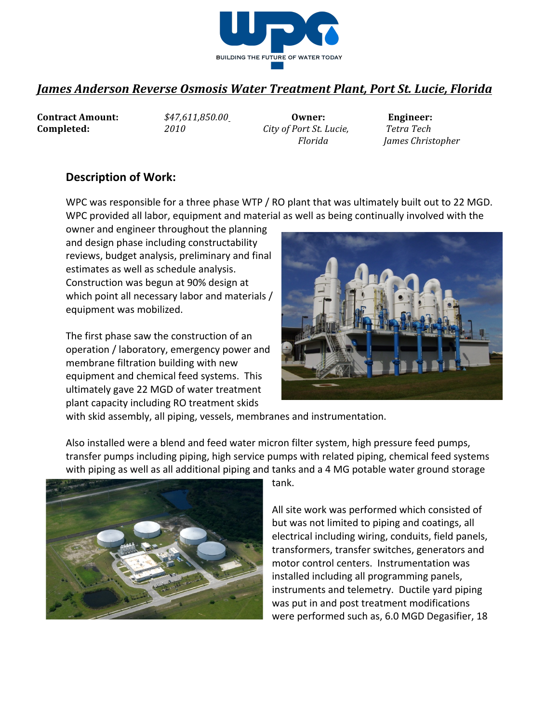

## *James Anderson Reverse Osmosis Water Treatment Plant, Port St. Lucie, Florida*

**Contract Amount:**  $\frac{$47,611,850.00}{}$  Owner: Engineer: **Completed:** 2010 *City of Port St. Lucie,* Tetra Tech

*Florida James Christopher*

## **Description of Work:**

WPC was responsible for a three phase WTP / RO plant that was ultimately built out to 22 MGD. WPC provided all labor, equipment and material as well as being continually involved with the

owner and engineer throughout the planning and design phase including constructability reviews, budget analysis, preliminary and final estimates as well as schedule analysis. Construction was begun at 90% design at which point all necessary labor and materials / equipment was mobilized.

The first phase saw the construction of an operation / laboratory, emergency power and membrane filtration building with new equipment and chemical feed systems. This ultimately gave 22 MGD of water treatment plant capacity including RO treatment skids



with skid assembly, all piping, vessels, membranes and instrumentation.

Also installed were a blend and feed water micron filter system, high pressure feed pumps, transfer pumps including piping, high service pumps with related piping, chemical feed systems with piping as well as all additional piping and tanks and a 4 MG potable water ground storage



tank.

All site work was performed which consisted of but was not limited to piping and coatings, all electrical including wiring, conduits, field panels, transformers, transfer switches, generators and motor control centers. Instrumentation was installed including all programming panels, instruments and telemetry. Ductile yard piping was put in and post treatment modifications were performed such as, 6.0 MGD Degasifier, 18